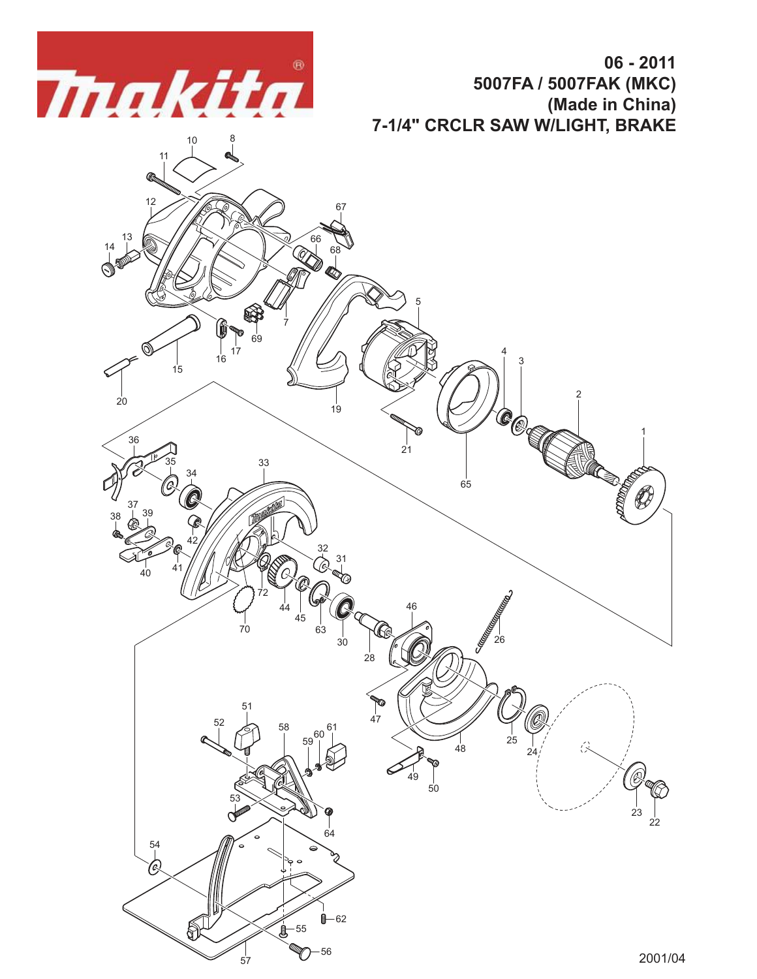

**06 - 2011 5007FA / 5007FAK (MKC) (Made in China) 7-1/4" CRCLR SAW W/LIGHT, BRAKE**

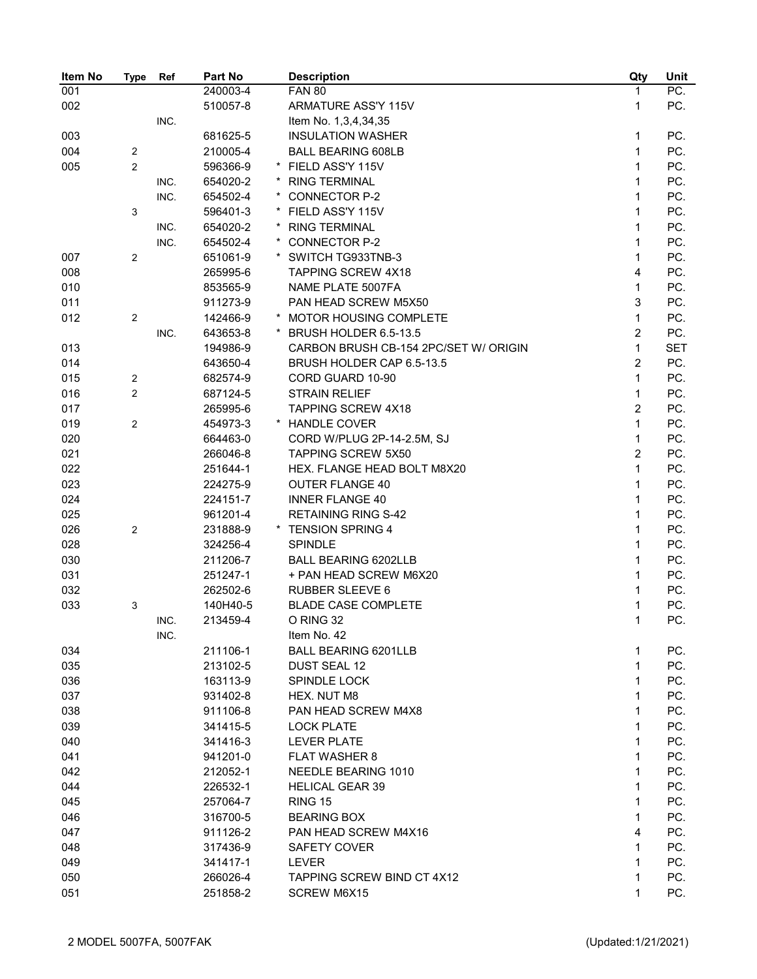| Item No    | <b>Type</b>    | Ref  | Part No  | <b>Description</b>                    | Qty            | Unit       |
|------------|----------------|------|----------|---------------------------------------|----------------|------------|
| 001        |                |      | 240003-4 | <b>FAN 80</b>                         | 1              | PC.        |
| 002        |                |      | 510057-8 | ARMATURE ASS'Y 115V                   | 1              | PC.        |
|            |                | INC. |          | Item No. 1,3,4,34,35                  |                |            |
| 003        |                |      | 681625-5 | <b>INSULATION WASHER</b>              | 1              | PC.        |
| 004        | 2              |      | 210005-4 | <b>BALL BEARING 608LB</b>             | $\mathbf{1}$   | PC.        |
| 005        | 2              |      | 596366-9 | FIELD ASS'Y 115V                      | $\mathbf{1}$   | PC.        |
|            |                | INC. | 654020-2 | <b>RING TERMINAL</b>                  | $\mathbf{1}$   | PC.        |
|            |                | INC. | 654502-4 | CONNECTOR P-2                         | $\mathbf{1}$   | PC.        |
|            | 3              |      | 596401-3 | FIELD ASS'Y 115V                      | $\mathbf 1$    | PC.        |
|            |                | INC. | 654020-2 | <b>RING TERMINAL</b>                  | 1              | PC.        |
|            |                | INC. | 654502-4 | <b>CONNECTOR P-2</b>                  | $\mathbf 1$    | PC.        |
| 007        | 2              |      | 651061-9 | SWITCH TG933TNB-3                     | $\mathbf 1$    | PC.        |
| 008        |                |      | 265995-6 | <b>TAPPING SCREW 4X18</b>             | 4              | PC.        |
| 010        |                |      | 853565-9 | NAME PLATE 5007FA                     | $\mathbf 1$    | PC.        |
| 011        |                |      | 911273-9 | PAN HEAD SCREW M5X50                  | 3              | PC.        |
| 012        | 2              |      | 142466-9 | MOTOR HOUSING COMPLETE                | $\mathbf 1$    | PC.        |
|            |                | INC. | 643653-8 | BRUSH HOLDER 6.5-13.5                 | $\overline{2}$ | PC.        |
| 013        |                |      | 194986-9 | CARBON BRUSH CB-154 2PC/SET W/ ORIGIN | $\mathbf{1}$   | <b>SET</b> |
| 014        |                |      | 643650-4 | BRUSH HOLDER CAP 6.5-13.5             | $\overline{2}$ | PC.        |
| 015        | 2              |      | 682574-9 | CORD GUARD 10-90                      | $\mathbf{1}$   | PC.        |
| 016        | $\overline{c}$ |      | 687124-5 | <b>STRAIN RELIEF</b>                  | $\mathbf{1}$   | PC.        |
| 017        |                |      | 265995-6 | <b>TAPPING SCREW 4X18</b>             | $\overline{2}$ | PC.        |
| 019        | 2              |      | 454973-3 | * HANDLE COVER                        | $\mathbf{1}$   | PC.        |
| 020        |                |      | 664463-0 | CORD W/PLUG 2P-14-2.5M, SJ            | $\mathbf{1}$   | PC.        |
|            |                |      |          | <b>TAPPING SCREW 5X50</b>             | $\overline{2}$ | PC.        |
| 021<br>022 |                |      | 266046-8 |                                       | $\mathbf 1$    | PC.        |
|            |                |      | 251644-1 | HEX. FLANGE HEAD BOLT M8X20           |                |            |
| 023        |                |      | 224275-9 | <b>OUTER FLANGE 40</b>                | 1              | PC.        |
| 024        |                |      | 224151-7 | <b>INNER FLANGE 40</b>                | $\mathbf{1}$   | PC.        |
| 025        |                |      | 961201-4 | <b>RETAINING RING S-42</b>            | $\mathbf{1}$   | PC.        |
| 026        | 2              |      | 231888-9 | <b>TENSION SPRING 4</b>               | $\mathbf{1}$   | PC.        |
| 028        |                |      | 324256-4 | <b>SPINDLE</b>                        | $\mathbf{1}$   | PC.        |
| 030        |                |      | 211206-7 | <b>BALL BEARING 6202LLB</b>           | $\mathbf{1}$   | PC.        |
| 031        |                |      | 251247-1 | + PAN HEAD SCREW M6X20                | 1              | PC.        |
| 032        |                |      | 262502-6 | <b>RUBBER SLEEVE 6</b>                | 1              | PC.        |
| 033        | 3              |      | 140H40-5 | <b>BLADE CASE COMPLETE</b>            | 1              | PC.        |
|            |                | INC. | 213459-4 | O RING 32                             | 1              | PC.        |
|            |                | INC. |          | Item No. 42                           |                |            |
| 034        |                |      | 211106-1 | <b>BALL BEARING 6201LLB</b>           | 1              | PC.        |
| 035        |                |      | 213102-5 | DUST SEAL 12                          | $\mathbf{1}$   | PC.        |
| 036        |                |      | 163113-9 | SPINDLE LOCK                          | 1              | PC.        |
| 037        |                |      | 931402-8 | HEX. NUT M8                           | 1              | PC.        |
| 038        |                |      | 911106-8 | PAN HEAD SCREW M4X8                   | 1              | PC.        |
| 039        |                |      | 341415-5 | <b>LOCK PLATE</b>                     | 1              | PC.        |
| 040        |                |      | 341416-3 | <b>LEVER PLATE</b>                    | 1              | PC.        |
| 041        |                |      | 941201-0 | <b>FLAT WASHER 8</b>                  | 1              | PC.        |
| 042        |                |      | 212052-1 | NEEDLE BEARING 1010                   | 1              | PC.        |
| 044        |                |      | 226532-1 | <b>HELICAL GEAR 39</b>                | 1              | PC.        |
| 045        |                |      | 257064-7 | <b>RING 15</b>                        | 1              | PC.        |
| 046        |                |      | 316700-5 | <b>BEARING BOX</b>                    | 1              | PC.        |
| 047        |                |      | 911126-2 | PAN HEAD SCREW M4X16                  | 4              | PC.        |
| 048        |                |      | 317436-9 | SAFETY COVER                          | 1              | PC.        |
| 049        |                |      | 341417-1 | LEVER                                 | 1              | PC.        |
| 050        |                |      | 266026-4 | <b>TAPPING SCREW BIND CT 4X12</b>     | 1              | PC.        |
| 051        |                |      | 251858-2 | SCREW M6X15                           | 1              | PC.        |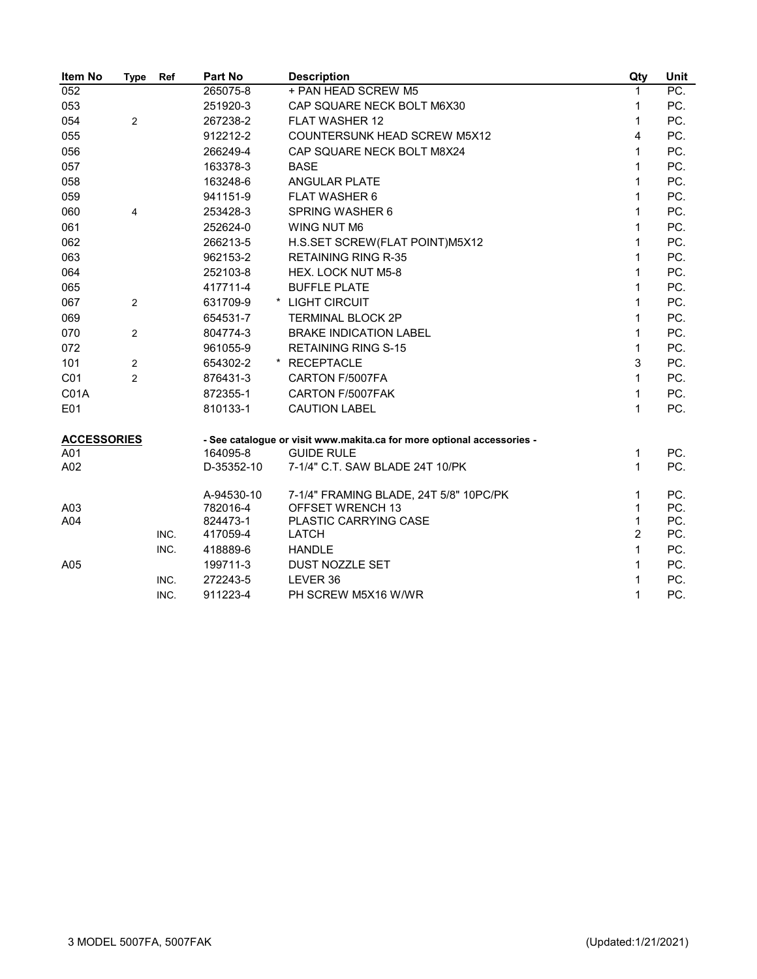| Item No            | Type           | Ref  | <b>Part No</b>       | <b>Description</b>                                                     | Qty            | Unit       |
|--------------------|----------------|------|----------------------|------------------------------------------------------------------------|----------------|------------|
| 052                |                |      | 265075-8             | + PAN HEAD SCREW M5                                                    | 1              | PC.        |
| 053                |                |      | 251920-3             | CAP SQUARE NECK BOLT M6X30                                             | 1              | PC.        |
| 054                | $\overline{c}$ |      | 267238-2             | <b>FLAT WASHER 12</b>                                                  | $\mathbf{1}$   | PC.        |
| 055                |                |      | 912212-2             | <b>COUNTERSUNK HEAD SCREW M5X12</b>                                    | 4              | PC.        |
| 056                |                |      | 266249-4             | CAP SQUARE NECK BOLT M8X24                                             | 1              | PC.        |
| 057                |                |      | 163378-3             | <b>BASE</b>                                                            | 1              | PC.        |
| 058                |                |      | 163248-6             | <b>ANGULAR PLATE</b>                                                   | 1              | PC.        |
| 059                |                |      | 941151-9             | <b>FLAT WASHER 6</b>                                                   | 1              | PC.        |
| 060                | 4              |      | 253428-3             | SPRING WASHER 6                                                        | 1              | PC.        |
| 061                |                |      | 252624-0             | WING NUT M6                                                            | 1              | PC.        |
| 062                |                |      | 266213-5             | H.S.SET SCREW(FLAT POINT)M5X12                                         | 1              | PC.        |
| 063                |                |      | 962153-2             | <b>RETAINING RING R-35</b>                                             | 1              | PC.        |
| 064                |                |      | 252103-8             | HEX. LOCK NUT M5-8                                                     | $\mathbf{1}$   | PC.        |
| 065                |                |      | 417711-4             | <b>BUFFLE PLATE</b>                                                    | 1              | PC.        |
| 067                | $\overline{2}$ |      | 631709-9             | * LIGHT CIRCUIT                                                        | 1              | PC.        |
| 069                |                |      | 654531-7             | <b>TERMINAL BLOCK 2P</b>                                               | 1              | PC.        |
| 070                | $\overline{c}$ |      | 804774-3             | <b>BRAKE INDICATION LABEL</b>                                          | 1              | PC.        |
| 072                |                |      | 961055-9             | <b>RETAINING RING S-15</b>                                             | $\mathbf{1}$   | PC.        |
| 101                | 2              |      | 654302-2             | * RECEPTACLE                                                           | 3              | PC.        |
| CO <sub>1</sub>    | $\overline{c}$ |      | 876431-3             | CARTON F/5007FA                                                        | $\mathbf{1}$   | PC.        |
| <b>C01A</b>        |                |      | 872355-1             | CARTON F/5007FAK                                                       | $\mathbf{1}$   | PC.        |
| E01                |                |      | 810133-1             | <b>CAUTION LABEL</b>                                                   | $\mathbf{1}$   | PC.        |
| <b>ACCESSORIES</b> |                |      |                      | - See catalogue or visit www.makita.ca for more optional accessories - |                |            |
| A01                |                |      | 164095-8             | <b>GUIDE RULE</b>                                                      | 1              | PC.        |
| A02                |                |      | D-35352-10           | 7-1/4" C.T. SAW BLADE 24T 10/PK                                        | 1              | PC.        |
|                    |                |      | A-94530-10           | 7-1/4" FRAMING BLADE, 24T 5/8" 10PC/PK                                 | 1              | PC.        |
| A03                |                |      | 782016-4             | OFFSET WRENCH 13                                                       | 1<br>1         | PC.        |
| A04                |                | INC. | 824473-1<br>417059-4 | PLASTIC CARRYING CASE<br><b>LATCH</b>                                  | $\overline{2}$ | PC.<br>PC. |
|                    |                | INC. | 418889-6             | <b>HANDLE</b>                                                          | $\mathbf 1$    | PC.        |
| A05                |                |      | 199711-3             | DUST NOZZLE SET                                                        | 1              | PC.        |
|                    |                | INC. | 272243-5             | LEVER 36                                                               | 1              | PC.        |
|                    |                | INC. | 911223-4             | PH SCREW M5X16 W/WR                                                    | 1              | PC.        |
|                    |                |      |                      |                                                                        |                |            |